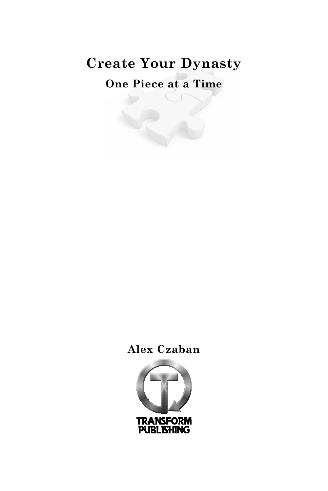# **Create Your Dynasty**

**One Piece at a Time**

# **Alex Czaban**

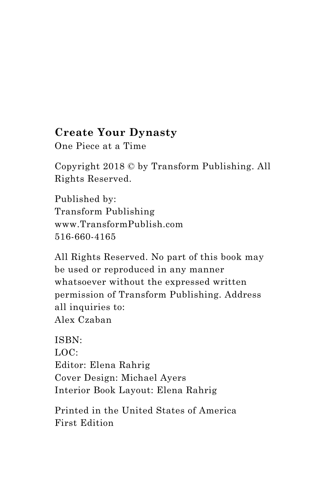# **Create Your Dynasty**

One Piece at a Time

Copyright 2018 © by Transform Publishing. All Rights Reserved.

Published by: Transform Publishing www.TransformPublish.com 516-660-4165

All Rights Reserved. No part of this book may be used or reproduced in any manner whatsoever without the expressed written permission of Transform Publishing. Address all inquiries to: Alex Czaban

ISBN: LOC: Editor: Elena Rahrig Cover Design: Michael Ayers Interior Book Layout: Elena Rahrig

Printed in the United States of America First Edition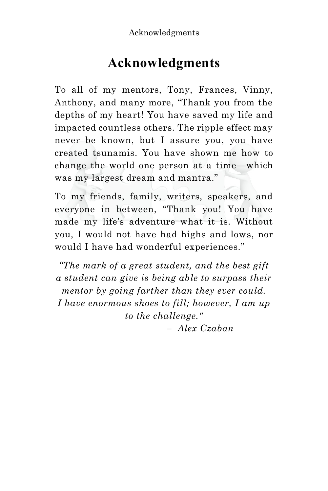# **Acknowledgments**

To all of my mentors, Tony, Frances, Vinny, Anthony, and many more, "Thank you from the depths of my heart! You have saved my life and impacted countless others. The ripple effect may never be known, but I assure you, you have created tsunamis. You have shown me how to change the world one person at a time—which was my largest dream and mantra."

To my friends, family, writers, speakers, and everyone in between, "Thank you! You have made my life's adventure what it is. Without you, I would not have had highs and lows, nor would I have had wonderful experiences."

*"The mark of a great student, and the best gift a student can give is being able to surpass their mentor by going farther than they ever could. I have enormous shoes to fill; however, I am up to the challenge."*

 *– Alex Czaban*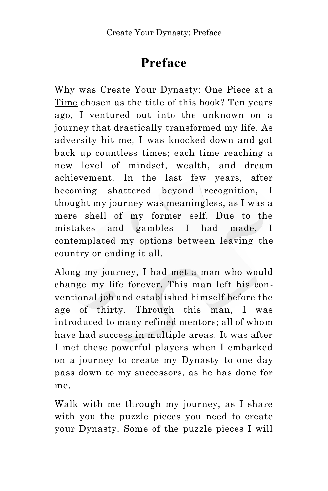# **Preface**

Why was Create Your Dynasty: One Piece at a Time chosen as the title of this book? Ten years ago, I ventured out into the unknown on a journey that drastically transformed my life. As adversity hit me, I was knocked down and got back up countless times; each time reaching a new level of mindset, wealth, and dream achievement. In the last few years, after becoming shattered beyond recognition, I thought my journey was meaningless, as I was a mere shell of my former self. Due to the mistakes and gambles I had made, I contemplated my options between leaving the country or ending it all.

Along my journey, I had met a man who would change my life forever. This man left his conventional job and established himself before the age of thirty. Through this man, I was introduced to many refined mentors; all of whom have had success in multiple areas. It was after I met these powerful players when I embarked on a journey to create my Dynasty to one day pass down to my successors, as he has done for me.

Walk with me through my journey, as I share with you the puzzle pieces you need to create your Dynasty. Some of the puzzle pieces I will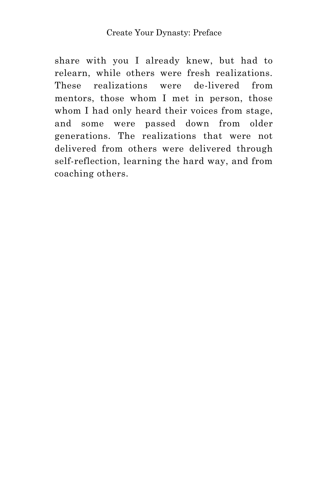#### Create Your Dynasty: Preface

share with you I already knew, but had to relearn, while others were fresh realizations. These realizations were de-livered from mentors, those whom I met in person, those whom I had only heard their voices from stage, and some were passed down from older generations. The realizations that were not delivered from others were delivered through self-reflection, learning the hard way, and from coaching others.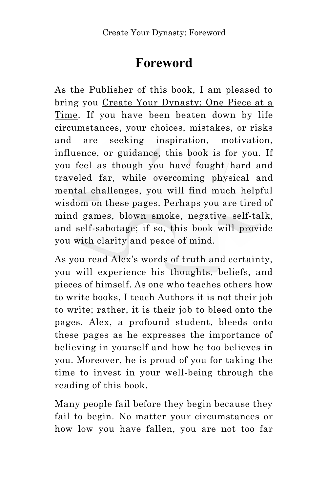# **Foreword**

As the Publisher of this book, I am pleased to bring you Create Your Dynasty: One Piece at a Time. If you have been beaten down by life circumstances, your choices, mistakes, or risks and are seeking inspiration, motivation, influence, or guidance, this book is for you. If you feel as though you have fought hard and traveled far, while overcoming physical and mental challenges, you will find much helpful wisdom on these pages. Perhaps you are tired of mind games, blown smoke, negative self-talk, and self-sabotage; if so, this book will provide you with clarity and peace of mind.

As you read Alex's words of truth and certainty, you will experience his thoughts, beliefs, and pieces of himself. As one who teaches others how to write books, I teach Authors it is not their job to write; rather, it is their job to bleed onto the pages. Alex, a profound student, bleeds onto these pages as he expresses the importance of believing in yourself and how he too believes in you. Moreover, he is proud of you for taking the time to invest in your well-being through the reading of this book.

Many people fail before they begin because they fail to begin. No matter your circumstances or how low you have fallen, you are not too far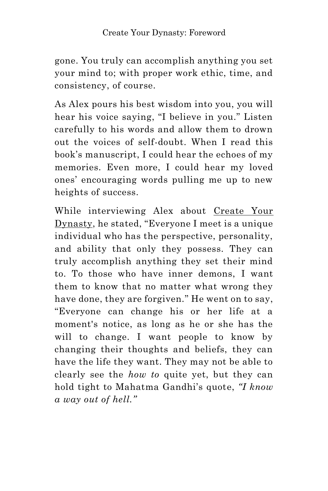### Create Your Dynasty: Foreword

gone. You truly can accomplish anything you set your mind to; with proper work ethic, time, and consistency, of course.

As Alex pours his best wisdom into you, you will hear his voice saying, "I believe in you." Listen carefully to his words and allow them to drown out the voices of self-doubt. When I read this book's manuscript, I could hear the echoes of my memories. Even more, I could hear my loved ones' encouraging words pulling me up to new heights of success.

While interviewing Alex about Create Your Dynasty, he stated, "Everyone I meet is a unique individual who has the perspective, personality, and ability that only they possess. They can truly accomplish anything they set their mind to. To those who have inner demons, I want them to know that no matter what wrong they have done, they are forgiven." He went on to say, "Everyone can change his or her life at a moment's notice, as long as he or she has the will to change. I want people to know by changing their thoughts and beliefs, they can have the life they want. They may not be able to clearly see the *how to* quite yet, but they can hold tight to Mahatma Gandhi's quote, *"I know a way out of hell."*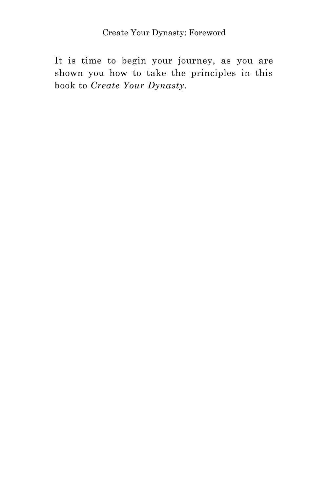### Create Your Dynasty: Foreword

It is time to begin your journey, as you are shown you how to take the principles in this book to *Create Your Dynasty*.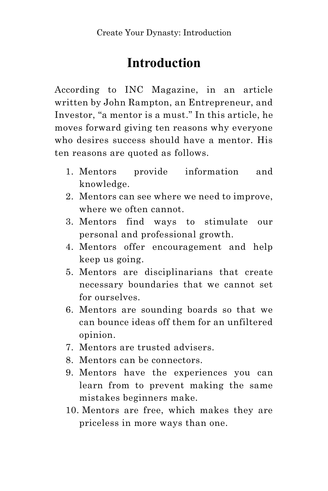# **Introduction**

According to INC Magazine, in an article written by John Rampton, an Entrepreneur, and Investor, "a mentor is a must." In this article, he moves forward giving ten reasons why everyone who desires success should have a mentor. His ten reasons are quoted as follows.

- 1. Mentors provide information and knowledge.
- 2. Mentors can see where we need to improve, where we often cannot.
- 3. Mentors find ways to stimulate our personal and professional growth.
- 4. Mentors offer encouragement and help keep us going.
- 5. Mentors are disciplinarians that create necessary boundaries that we cannot set for ourselves.
- 6. Mentors are sounding boards so that we can bounce ideas off them for an unfiltered opinion.
- 7. Mentors are trusted advisers.
- 8. Mentors can be connectors.
- 9. Mentors have the experiences you can learn from to prevent making the same mistakes beginners make.
- 10. Mentors are free, which makes they are priceless in more ways than one.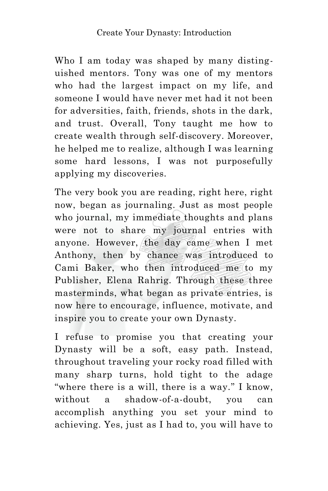Who I am today was shaped by many distinguished mentors. Tony was one of my mentors who had the largest impact on my life, and someone I would have never met had it not been for adversities, faith, friends, shots in the dark, and trust. Overall, Tony taught me how to create wealth through self-discovery. Moreover, he helped me to realize, although I was learning some hard lessons, I was not purposefully applying my discoveries.

The very book you are reading, right here, right now, began as journaling. Just as most people who journal, my immediate thoughts and plans were not to share my journal entries with anyone. However, the day came when I met Anthony, then by chance was introduced to Cami Baker, who then introduced me to my Publisher, Elena Rahrig. Through these three masterminds, what began as private entries, is now here to encourage, influence, motivate, and inspire you to create your own Dynasty.

I refuse to promise you that creating your Dynasty will be a soft, easy path. Instead, throughout traveling your rocky road filled with many sharp turns, hold tight to the adage "where there is a will, there is a way." I know, without a shadow-of-a-doubt, you can accomplish anything you set your mind to achieving. Yes, just as I had to, you will have to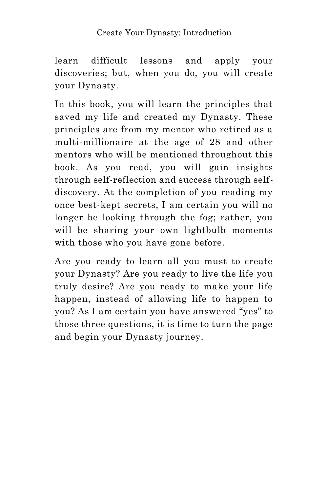# Create Your Dynasty: Introduction

learn difficult lessons and apply your discoveries; but, when you do, you will create your Dynasty.

In this book, you will learn the principles that saved my life and created my Dynasty. These principles are from my mentor who retired as a multi-millionaire at the age of 28 and other mentors who will be mentioned throughout this book. As you read, you will gain insights through self-reflection and success through selfdiscovery. At the completion of you reading my once best-kept secrets, I am certain you will no longer be looking through the fog; rather, you will be sharing your own lightbulb moments with those who you have gone before.

Are you ready to learn all you must to create your Dynasty? Are you ready to live the life you truly desire? Are you ready to make your life happen, instead of allowing life to happen to you? As I am certain you have answered "yes" to those three questions, it is time to turn the page and begin your Dynasty journey.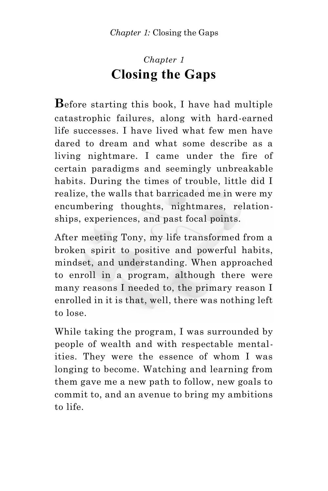# *Chapter 1* **Closing the Gaps**

**B**efore starting this book, I have had multiple catastrophic failures, along with hard-earned life successes. I have lived what few men have dared to dream and what some describe as a living nightmare. I came under the fire of certain paradigms and seemingly unbreakable habits. During the times of trouble, little did I realize, the walls that barricaded me in were my encumbering thoughts, nightmares, relationships, experiences, and past focal points.

After meeting Tony, my life transformed from a broken spirit to positive and powerful habits, mindset, and understanding. When approached to enroll in a program, although there were many reasons I needed to, the primary reason I enrolled in it is that, well, there was nothing left to lose.

While taking the program, I was surrounded by people of wealth and with respectable mentalities. They were the essence of whom I was longing to become. Watching and learning from them gave me a new path to follow, new goals to commit to, and an avenue to bring my ambitions to life.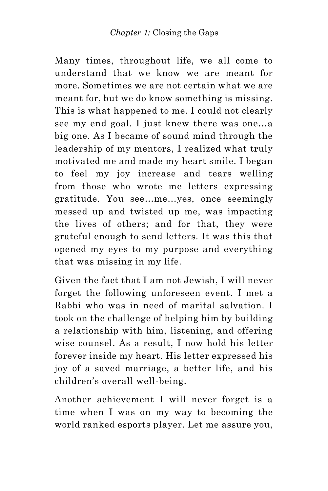Many times, throughout life, we all come to understand that we know we are meant for more. Sometimes we are not certain what we are meant for, but we do know something is missing. This is what happened to me. I could not clearly see my end goal. I just knew there was one…a big one. As I became of sound mind through the leadership of my mentors, I realized what truly motivated me and made my heart smile. I began to feel my joy increase and tears welling from those who wrote me letters expressing gratitude. You see…me…yes, once seemingly messed up and twisted up me, was impacting the lives of others; and for that, they were grateful enough to send letters. It was this that opened my eyes to my purpose and everything that was missing in my life.

Given the fact that I am not Jewish, I will never forget the following unforeseen event. I met a Rabbi who was in need of marital salvation. I took on the challenge of helping him by building a relationship with him, listening, and offering wise counsel. As a result, I now hold his letter forever inside my heart. His letter expressed his joy of a saved marriage, a better life, and his children's overall well-being.

Another achievement I will never forget is a time when I was on my way to becoming the world ranked esports player. Let me assure you,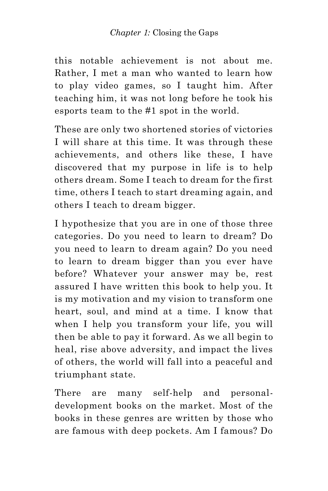### *Chapter 1:* Closing the Gaps

this notable achievement is not about me. Rather, I met a man who wanted to learn how to play video games, so I taught him. After teaching him, it was not long before he took his esports team to the #1 spot in the world.

These are only two shortened stories of victories I will share at this time. It was through these achievements, and others like these, I have discovered that my purpose in life is to help others dream. Some I teach to dream for the first time, others I teach to start dreaming again, and others I teach to dream bigger.

I hypothesize that you are in one of those three categories. Do you need to learn to dream? Do you need to learn to dream again? Do you need to learn to dream bigger than you ever have before? Whatever your answer may be, rest assured I have written this book to help you. It is my motivation and my vision to transform one heart, soul, and mind at a time. I know that when I help you transform your life, you will then be able to pay it forward. As we all begin to heal, rise above adversity, and impact the lives of others, the world will fall into a peaceful and triumphant state.

There are many self-help and personaldevelopment books on the market. Most of the books in these genres are written by those who are famous with deep pockets. Am I famous? Do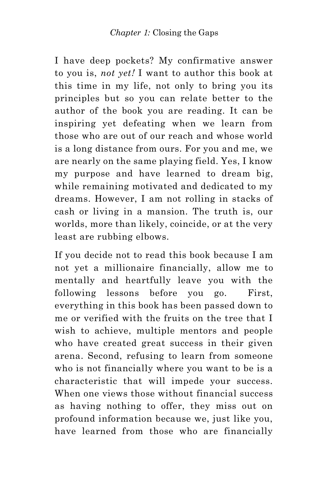I have deep pockets? My confirmative answer to you is, *not yet!* I want to author this book at this time in my life, not only to bring you its principles but so you can relate better to the author of the book you are reading. It can be inspiring yet defeating when we learn from those who are out of our reach and whose world is a long distance from ours. For you and me, we are nearly on the same playing field. Yes, I know my purpose and have learned to dream big, while remaining motivated and dedicated to my dreams. However, I am not rolling in stacks of cash or living in a mansion. The truth is, our worlds, more than likely, coincide, or at the very least are rubbing elbows.

If you decide not to read this book because I am not yet a millionaire financially, allow me to mentally and heartfully leave you with the following lessons before you go. First, everything in this book has been passed down to me or verified with the fruits on the tree that I wish to achieve, multiple mentors and people who have created great success in their given arena. Second, refusing to learn from someone who is not financially where you want to be is a characteristic that will impede your success. When one views those without financial success as having nothing to offer, they miss out on profound information because we, just like you, have learned from those who are financially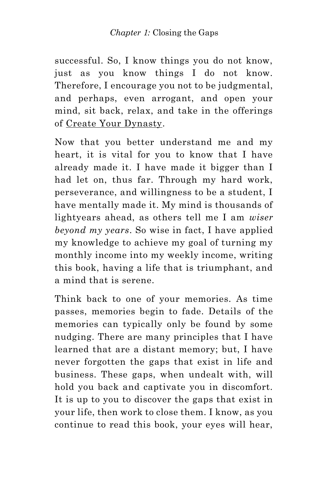### *Chapter 1:* Closing the Gaps

successful. So, I know things you do not know, just as you know things I do not know. Therefore, I encourage you not to be judgmental, and perhaps, even arrogant, and open your mind, sit back, relax, and take in the offerings of Create Your Dynasty.

Now that you better understand me and my heart, it is vital for you to know that I have already made it. I have made it bigger than I had let on, thus far. Through my hard work, perseverance, and willingness to be a student, I have mentally made it. My mind is thousands of lightyears ahead, as others tell me I am *wiser beyond my years*. So wise in fact, I have applied my knowledge to achieve my goal of turning my monthly income into my weekly income, writing this book, having a life that is triumphant, and a mind that is serene.

Think back to one of your memories. As time passes, memories begin to fade. Details of the memories can typically only be found by some nudging. There are many principles that I have learned that are a distant memory; but, I have never forgotten the gaps that exist in life and business. These gaps, when undealt with, will hold you back and captivate you in discomfort. It is up to you to discover the gaps that exist in your life, then work to close them. I know, as you continue to read this book, your eyes will hear,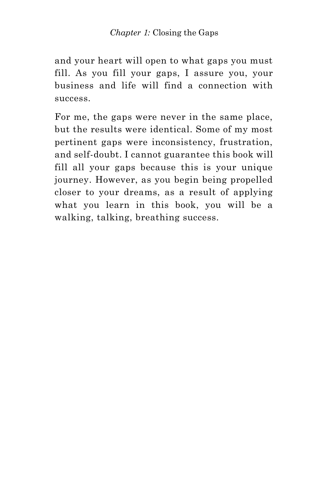#### *Chapter 1:* Closing the Gaps

and your heart will open to what gaps you must fill. As you fill your gaps, I assure you, your business and life will find a connection with success.

For me, the gaps were never in the same place, but the results were identical. Some of my most pertinent gaps were inconsistency, frustration, and self-doubt. I cannot guarantee this book will fill all your gaps because this is your unique journey. However, as you begin being propelled closer to your dreams, as a result of applying what you learn in this book, you will be a walking, talking, breathing success.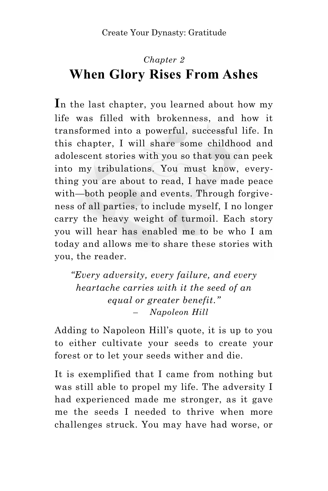# *Chapter 2* **When Glory Rises From Ashes**

**I**n the last chapter, you learned about how my life was filled with brokenness, and how it transformed into a powerful, successful life. In this chapter, I will share some childhood and adolescent stories with you so that you can peek into my tribulations. You must know, everything you are about to read, I have made peace with—both people and events. Through forgiveness of all parties, to include myself, I no longer carry the heavy weight of turmoil. Each story you will hear has enabled me to be who I am today and allows me to share these stories with you, the reader.

*"Every adversity, every failure, and every heartache carries with it the seed of an equal or greater benefit."* – *Napoleon Hill*

Adding to Napoleon Hill's quote, it is up to you to either cultivate your seeds to create your forest or to let your seeds wither and die.

It is exemplified that I came from nothing but was still able to propel my life. The adversity I had experienced made me stronger, as it gave me the seeds I needed to thrive when more challenges struck. You may have had worse, or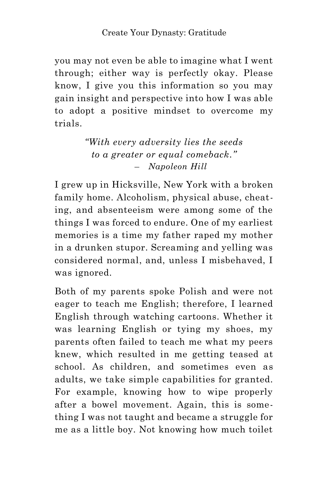you may not even be able to imagine what I went through; either way is perfectly okay. Please know, I give you this information so you may gain insight and perspective into how I was able to adopt a positive mindset to overcome my trials.

> *"With every adversity lies the seeds to a greater or equal comeback."* – *Napoleon Hill*

I grew up in Hicksville, New York with a broken family home. Alcoholism, physical abuse, cheating, and absenteeism were among some of the things I was forced to endure. One of my earliest memories is a time my father raped my mother in a drunken stupor. Screaming and yelling was considered normal, and, unless I misbehaved, I was ignored.

Both of my parents spoke Polish and were not eager to teach me English; therefore, I learned English through watching cartoons. Whether it was learning English or tying my shoes, my parents often failed to teach me what my peers knew, which resulted in me getting teased at school. As children, and sometimes even as adults, we take simple capabilities for granted. For example, knowing how to wipe properly after a bowel movement. Again, this is something I was not taught and became a struggle for me as a little boy. Not knowing how much toilet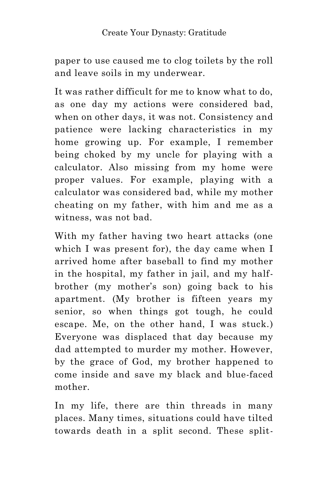paper to use caused me to clog toilets by the roll and leave soils in my underwear.

It was rather difficult for me to know what to do, as one day my actions were considered bad, when on other days, it was not. Consistency and patience were lacking characteristics in my home growing up. For example, I remember being choked by my uncle for playing with a calculator. Also missing from my home were proper values. For example, playing with a calculator was considered bad, while my mother cheating on my father, with him and me as a witness, was not bad.

With my father having two heart attacks (one which I was present for), the day came when I arrived home after baseball to find my mother in the hospital, my father in jail, and my halfbrother (my mother's son) going back to his apartment. (My brother is fifteen years my senior, so when things got tough, he could escape. Me, on the other hand, I was stuck.) Everyone was displaced that day because my dad attempted to murder my mother. However, by the grace of God, my brother happened to come inside and save my black and blue-faced mother.

In my life, there are thin threads in many places. Many times, situations could have tilted towards death in a split second. These split-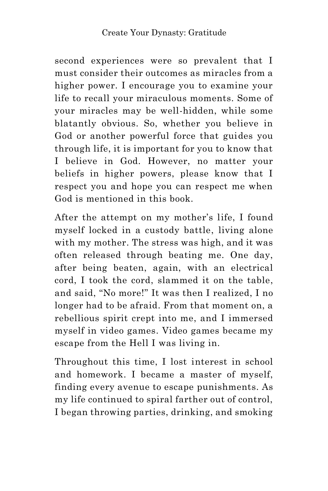second experiences were so prevalent that I must consider their outcomes as miracles from a higher power. I encourage you to examine your life to recall your miraculous moments. Some of your miracles may be well-hidden, while some blatantly obvious. So, whether you believe in God or another powerful force that guides you through life, it is important for you to know that I believe in God. However, no matter your beliefs in higher powers, please know that I respect you and hope you can respect me when God is mentioned in this book.

After the attempt on my mother's life, I found myself locked in a custody battle, living alone with my mother. The stress was high, and it was often released through beating me. One day, after being beaten, again, with an electrical cord, I took the cord, slammed it on the table, and said, "No more!" It was then I realized, I no longer had to be afraid. From that moment on, a rebellious spirit crept into me, and I immersed myself in video games. Video games became my escape from the Hell I was living in.

Throughout this time, I lost interest in school and homework. I became a master of myself, finding every avenue to escape punishments. As my life continued to spiral farther out of control, I began throwing parties, drinking, and smoking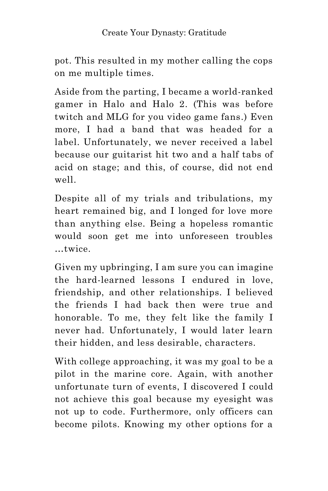pot. This resulted in my mother calling the cops on me multiple times.

Aside from the parting, I became a world-ranked gamer in Halo and Halo 2. (This was before twitch and MLG for you video game fans.) Even more, I had a band that was headed for a label. Unfortunately, we never received a label because our guitarist hit two and a half tabs of acid on stage; and this, of course, did not end well.

Despite all of my trials and tribulations, my heart remained big, and I longed for love more than anything else. Being a hopeless romantic would soon get me into unforeseen troubles …twice.

Given my upbringing, I am sure you can imagine the hard-learned lessons I endured in love, friendship, and other relationships. I believed the friends I had back then were true and honorable. To me, they felt like the family I never had. Unfortunately, I would later learn their hidden, and less desirable, characters.

With college approaching, it was my goal to be a pilot in the marine core. Again, with another unfortunate turn of events, I discovered I could not achieve this goal because my eyesight was not up to code. Furthermore, only officers can become pilots. Knowing my other options for a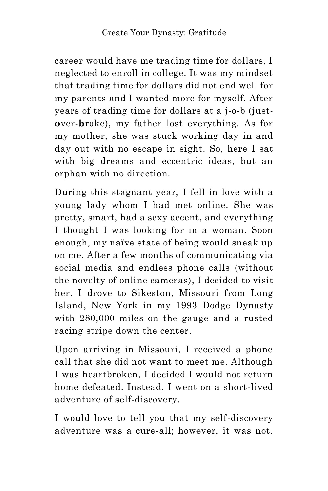career would have me trading time for dollars, I neglected to enroll in college. It was my mindset that trading time for dollars did not end well for my parents and I wanted more for myself. After years of trading time for dollars at a j-o-b (**j**ust**o**ver-**b**roke), my father lost everything. As for my mother, she was stuck working day in and day out with no escape in sight. So, here I sat with big dreams and eccentric ideas, but an orphan with no direction.

During this stagnant year, I fell in love with a young lady whom I had met online. She was pretty, smart, had a sexy accent, and everything I thought I was looking for in a woman. Soon enough, my naïve state of being would sneak up on me. After a few months of communicating via social media and endless phone calls (without the novelty of online cameras), I decided to visit her. I drove to Sikeston, Missouri from Long Island, New York in my 1993 Dodge Dynasty with 280,000 miles on the gauge and a rusted racing stripe down the center.

Upon arriving in Missouri, I received a phone call that she did not want to meet me. Although I was heartbroken, I decided I would not return home defeated. Instead, I went on a short-lived adventure of self-discovery.

I would love to tell you that my self-discovery adventure was a cure-all; however, it was not.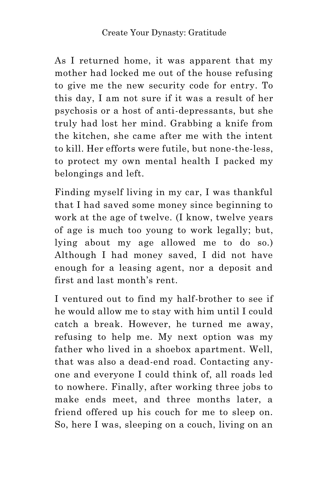As I returned home, it was apparent that my mother had locked me out of the house refusing to give me the new security code for entry. To this day, I am not sure if it was a result of her psychosis or a host of anti-depressants, but she truly had lost her mind. Grabbing a knife from the kitchen, she came after me with the intent to kill. Her efforts were futile, but none-the-less, to protect my own mental health I packed my belongings and left.

Finding myself living in my car, I was thankful that I had saved some money since beginning to work at the age of twelve. (I know, twelve years of age is much too young to work legally; but, lying about my age allowed me to do so.) Although I had money saved, I did not have enough for a leasing agent, nor a deposit and first and last month's rent.

I ventured out to find my half-brother to see if he would allow me to stay with him until I could catch a break. However, he turned me away, refusing to help me. My next option was my father who lived in a shoebox apartment. Well, that was also a dead-end road. Contacting anyone and everyone I could think of, all roads led to nowhere. Finally, after working three jobs to make ends meet, and three months later, a friend offered up his couch for me to sleep on. So, here I was, sleeping on a couch, living on an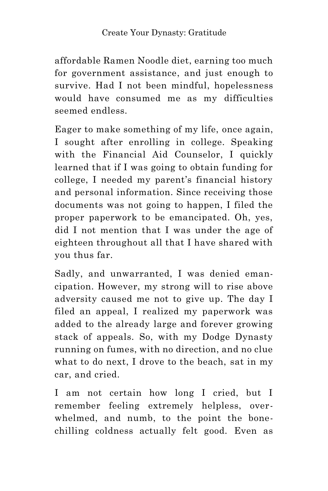affordable Ramen Noodle diet, earning too much for government assistance, and just enough to survive. Had I not been mindful, hopelessness would have consumed me as my difficulties seemed endless.

Eager to make something of my life, once again, I sought after enrolling in college. Speaking with the Financial Aid Counselor, I quickly learned that if I was going to obtain funding for college, I needed my parent's financial history and personal information. Since receiving those documents was not going to happen, I filed the proper paperwork to be emancipated. Oh, yes, did I not mention that I was under the age of eighteen throughout all that I have shared with you thus far.

Sadly, and unwarranted, I was denied emancipation. However, my strong will to rise above adversity caused me not to give up. The day I filed an appeal, I realized my paperwork was added to the already large and forever growing stack of appeals. So, with my Dodge Dynasty running on fumes, with no direction, and no clue what to do next, I drove to the beach, sat in my car, and cried.

I am not certain how long I cried, but I remember feeling extremely helpless, overwhelmed, and numb, to the point the bonechilling coldness actually felt good. Even as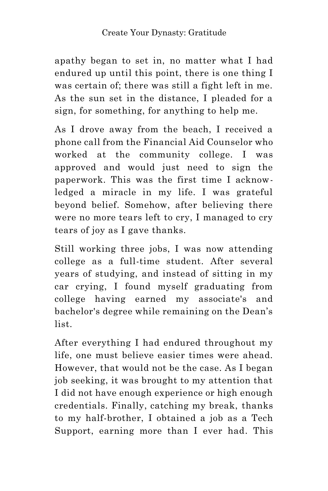apathy began to set in, no matter what I had endured up until this point, there is one thing I was certain of; there was still a fight left in me. As the sun set in the distance, I pleaded for a sign, for something, for anything to help me.

As I drove away from the beach, I received a phone call from the Financial Aid Counselor who worked at the community college. I was approved and would just need to sign the paperwork. This was the first time I acknowledged a miracle in my life. I was grateful beyond belief. Somehow, after believing there were no more tears left to cry, I managed to cry tears of joy as I gave thanks.

Still working three jobs, I was now attending college as a full-time student. After several years of studying, and instead of sitting in my car crying, I found myself graduating from college having earned my associate's and bachelor's degree while remaining on the Dean's list.

After everything I had endured throughout my life, one must believe easier times were ahead. However, that would not be the case. As I began job seeking, it was brought to my attention that I did not have enough experience or high enough credentials. Finally, catching my break, thanks to my half-brother, I obtained a job as a Tech Support, earning more than I ever had. This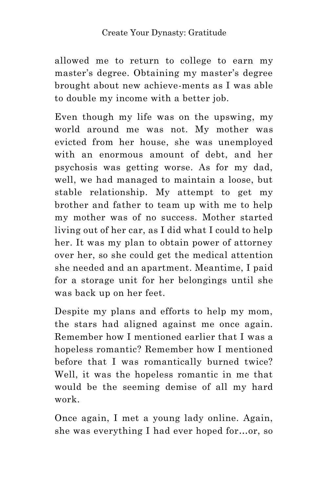allowed me to return to college to earn my master's degree. Obtaining my master's degree brought about new achieve-ments as I was able to double my income with a better job.

Even though my life was on the upswing, my world around me was not. My mother was evicted from her house, she was unemployed with an enormous amount of debt, and her psychosis was getting worse. As for my dad, well, we had managed to maintain a loose, but stable relationship. My attempt to get my brother and father to team up with me to help my mother was of no success. Mother started living out of her car, as I did what I could to help her. It was my plan to obtain power of attorney over her, so she could get the medical attention she needed and an apartment. Meantime, I paid for a storage unit for her belongings until she was back up on her feet.

Despite my plans and efforts to help my mom, the stars had aligned against me once again. Remember how I mentioned earlier that I was a hopeless romantic? Remember how I mentioned before that I was romantically burned twice? Well, it was the hopeless romantic in me that would be the seeming demise of all my hard work.

Once again, I met a young lady online. Again, she was everything I had ever hoped for…or, so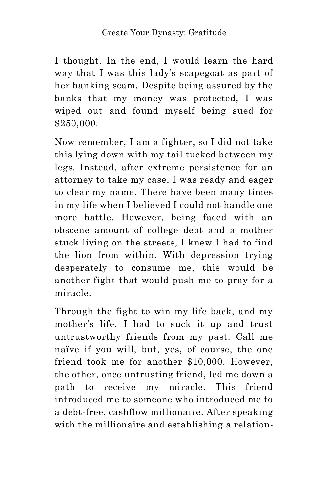I thought. In the end, I would learn the hard way that I was this lady's scapegoat as part of her banking scam. Despite being assured by the banks that my money was protected, I was wiped out and found myself being sued for \$250,000.

Now remember, I am a fighter, so I did not take this lying down with my tail tucked between my legs. Instead, after extreme persistence for an attorney to take my case, I was ready and eager to clear my name. There have been many times in my life when I believed I could not handle one more battle. However, being faced with an obscene amount of college debt and a mother stuck living on the streets, I knew I had to find the lion from within. With depression trying desperately to consume me, this would be another fight that would push me to pray for a miracle.

Through the fight to win my life back, and my mother's life, I had to suck it up and trust untrustworthy friends from my past. Call me naïve if you will, but, yes, of course, the one friend took me for another \$10,000. However, the other, once untrusting friend, led me down a path to receive my miracle. This friend introduced me to someone who introduced me to a debt-free, cashflow millionaire. After speaking with the millionaire and establishing a relation-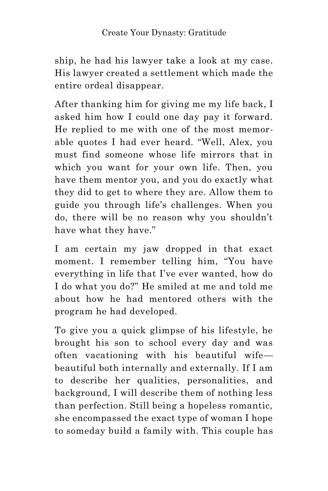ship, he had his lawyer take a look at my case. His lawyer created a settlement which made the entire ordeal disappear.

After thanking him for giving me my life back, I asked him how I could one day pay it forward. He replied to me with one of the most memorable quotes I had ever heard. "Well, Alex, you must find someone whose life mirrors that in which you want for your own life. Then, you have them mentor you, and you do exactly what they did to get to where they are. Allow them to guide you through life's challenges. When you do, there will be no reason why you shouldn't have what they have."

I am certain my jaw dropped in that exact moment. I remember telling him, "You have everything in life that I've ever wanted, how do I do what you do?" He smiled at me and told me about how he had mentored others with the program he had developed.

To give you a quick glimpse of his lifestyle, he brought his son to school every day and was often vacationing with his beautiful wife beautiful both internally and externally. If I am to describe her qualities, personalities, and background, I will describe them of nothing less than perfection. Still being a hopeless romantic, she encompassed the exact type of woman I hope to someday build a family with. This couple has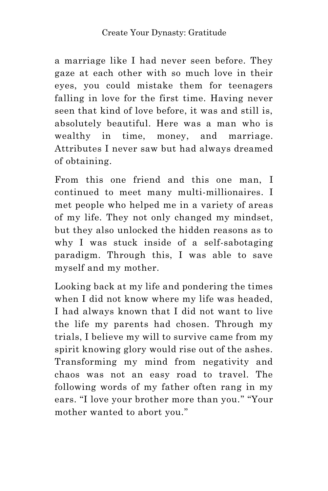a marriage like I had never seen before. They gaze at each other with so much love in their eyes, you could mistake them for teenagers falling in love for the first time. Having never seen that kind of love before, it was and still is, absolutely beautiful. Here was a man who is wealthy in time, money, and marriage. Attributes I never saw but had always dreamed of obtaining.

From this one friend and this one man, I continued to meet many multi-millionaires. I met people who helped me in a variety of areas of my life. They not only changed my mindset, but they also unlocked the hidden reasons as to why I was stuck inside of a self-sabotaging paradigm. Through this, I was able to save myself and my mother.

Looking back at my life and pondering the times when I did not know where my life was headed, I had always known that I did not want to live the life my parents had chosen. Through my trials, I believe my will to survive came from my spirit knowing glory would rise out of the ashes. Transforming my mind from negativity and chaos was not an easy road to travel. The following words of my father often rang in my ears. "I love your brother more than you." "Your mother wanted to abort you."